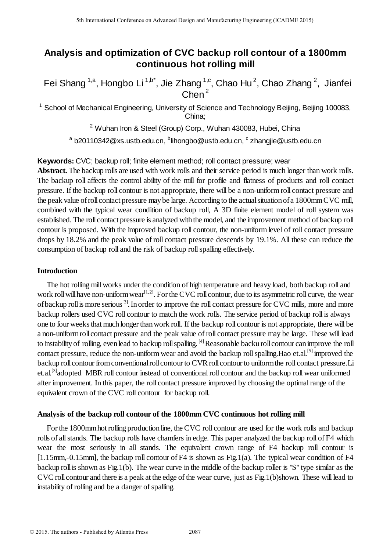# **Analysis and optimization of CVC backup roll contour of a 1800mm continuous hot rolling mill**

Fei Shang <sup>1,a</sup>, Hongbo Li <sup>1,b\*</sup>, Jie Zhang <sup>1,c</sup>, Chao Hu<sup>2</sup>, Chao Zhang <sup>2</sup>, Jianfei  $Chen<sup>2</sup>$ 

<sup>1</sup> School of Mechanical Engineering, University of Science and Technology Beijing, Beijing 100083, China;

<sup>2</sup> Wuhan Iron & Steel (Group) Corp., Wuhan 430083, Hubei, China

<sup>a</sup> b20110342@xs.ustb.edu.cn, <sup>b</sup>lihongbo@ustb.edu.cn, <sup>c</sup> zhangjie@ustb.edu.cn

**Keywords:** CVC; backup roll; finite element method; roll contact pressure; wear

**Abstract.** The backup rolls are used with work rolls and their service period is much longer than work rolls. The backup roll affects the control ability of the mill for profile and flatness of products and roll contact pressure. If the backup roll contour is not appropriate, there will be a non-uniform roll contact pressure and the peak value of roll contact pressure may be large. According to the actual situation of a 1800mm CVC mill, combined with the typical wear condition of backup roll, A 3D finite element model of roll system was established. The roll contact pressure is analyzed with the model, and the improvement method of backup roll contour is proposed. With the improved backup roll contour, the non-uniform level of roll contact pressure drops by 18.2% and the peak value of roll contact pressure descends by 19.1%. All these can reduce the consumption of backup roll and the risk of backup roll spalling effectively.

## **Introduction**

The hot rolling mill works under the condition of high temperature and heavy load, both backup roll and work roll will have non-uniform wear<sup>[1,2]</sup>. For the CVC roll contour, due to its asymmetric roll curve, the wear of backup roll is more serious<sup>[3]</sup>. In order to improve the roll contact pressure for CVC mills, more and more backup rollers used CVC roll contour to match the work rolls. The service period of backup roll is always one to four weeks that much longer than work roll. If the backup roll contour is not appropriate, there will be a non-uniform roll contact pressure and the peak value of roll contact pressure may be large. These will lead to instability of rolling, even lead to backup roll spalling. <sup>[4]</sup>Reasonable backu roll contour can improve the roll contact pressure, reduce the non-uniform wear and avoid the backup roll spalling. Hao et.al.<sup>[5]</sup> improved the backup roll contour from conventional roll contour to CVR roll contour to uniform the roll contact pressure.Li et.al.[3]adopted MBR roll contour instead of conventional roll contour and the backup roll wear uniformed after improvement. In this paper, the roll contact pressure improved by choosing the optimal range of the equivalent crown of the CVC roll contour for backup roll. 5th Isamitosal Conference on Advanced Design and Manufacturing Engineering (ICADME 2015)<br> **Analysis and optimization of CVC backup roll contents of**  $\alpha$ **<br>
Fei Shang<sup>1a</sup>, Hongbo Li<sup>11a</sup>, Jie Zhang<sup>16</sup>, Chao Hu<sup>2</sup>, Chao Zhan** 

## **Analysis of the backup roll contour of the 1800mm CVC continuous hot rolling mill**

For the 1800mm hot rolling production line, the CVC roll contour are used for the work rolls and backup rolls of all stands. The backup rolls have chamfers in edge. This paper analyzed the backup roll of F4 which wear the most seriously in all stands. The equivalent crown range of F4 backup roll contour is [1.15mm,-0.15mm], the backup roll contour of F4 is shown as Fig.1(a). The typical wear condition of F4 backup roll is shown as Fig.1(b). The wear curve in the middle of the backup roller is "S" type similar as the CVC roll contour and there is a peak at the edge of the wear curve, just as Fig.1(b)shown. These will lead to instability of rolling and be a danger of spalling.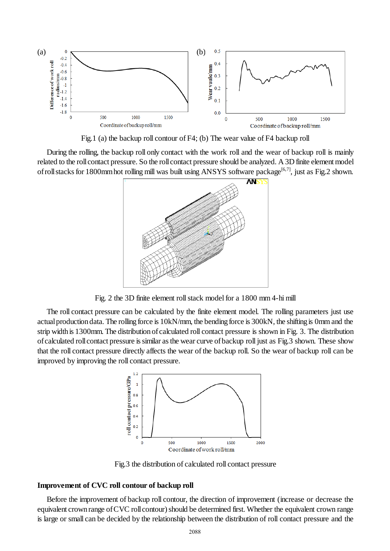

Fig.1 (a) the backup roll contour of F4; (b) The wear value of F4 backup roll

During the rolling, the backup roll only contact with the work roll and the wear of backup roll is mainly related to the roll contact pressure. So the roll contact pressure should be analyzed. A 3D finite element model of roll stacks for 1800mm hot rolling mill was built using ANSYS software package<sup>[6,7]</sup>, just as Fig.2 shown.



Fig. 2 the 3D finite element roll stack model for a 1800 mm 4-hi mill

The roll contact pressure can be calculated by the finite element model. The rolling parameters just use actual production data. The rolling force is 10kN/mm, the bending force is 300kN, the shifting is 0mm and the strip width is 1300mm. The distribution of calculated roll contact pressure is shown in Fig. 3. The distribution of calculated roll contact pressure is similar as the wear curve of backup roll just as Fig.3 shown. These show that the roll contact pressure directly affects the wear of the backup roll. So the wear of backup roll can be improved by improving the roll contact pressure.



Fig.3 the distribution of calculated roll contact pressure

#### **Improvement of CVC roll contour of backup roll**

Before the improvement of backup roll contour, the direction of improvement (increase or decrease the equivalent crown range of CVC roll contour) should be determined first. Whether the equivalent crown range is large or small can be decided by the relationship between the distribution of roll contact pressure and the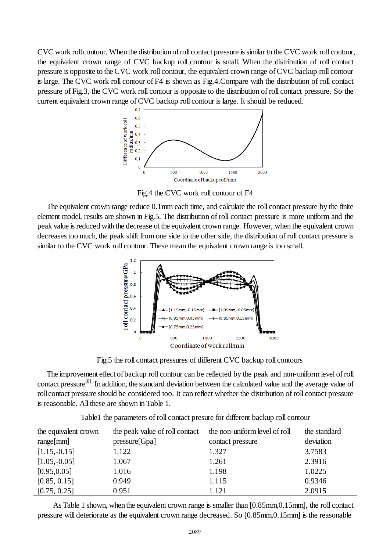CVC work roll contour. When the distribution of roll contact pressure is similar to the CVC work roll contour, the equivalent crown range of CVC backup roll contour is small. When the distribution of roll contact pressure is opposite to the CVC work roll contour, the equivalent crown range of CVC backup roll contour is large. The CVC work roll contour of F4 is shown as Fig.4.Compare with the distribution of roll contact pressure of Fig.3, the CVC work roll contour is opposite to the distribution of roll contact pressure. So the current equivalent crown range of CVC backup roll contour is large. It should be reduced.



Fig.4 the CVC work roll contour of F4

The equivalent crown range reduce 0.1mm each time, and calculate the roll contact pressure by the finite element model, results are shown in Fig.5. The distribution of roll contact pressure is more uniform and the peak value is reduced with the decrease of the equivalent crown range. However, when the equivalent crown decreases too much, the peak shift from one side to the other side, the distribution of roll contact pressure is similar to the CVC work roll contour. These mean the equivalent crown range is too small.



Fig.5 the roll contact pressures of different CVC backup roll contours

The improvement effect of backup roll contour can be reflected by the peak and non-uniform level of roll contact pressure<sup>[8]</sup>. In addition, th[e standard deviation](http://dict.cnki.net/dict_result.aspx?searchword=%e6%a0%87%e5%87%86%e5%b7%ae&tjType=sentence&style=&t=standard+deviation) between the calculated value and the average value of roll contact pressure should be considered too. It can reflect whether the distribution of roll contact pressure is reasonable. All these are shown in Table 1.

| the equivalent crown | the peak value of roll contact | the non-uniform level of roll | the standard |
|----------------------|--------------------------------|-------------------------------|--------------|
| range[mm]            | presure[Gpa]                   | contact pressure              | deviation    |
| $[1.15,-0.15]$       | 1.122                          | 1.327                         | 3.7583       |
| $[1.05,-0.05]$       | 1.067                          | 1.261                         | 2.3916       |
| [0.95, 0.05]         | 1.016                          | 1.198                         | 1.0225       |
| [0.85, 0.15]         | 0.949                          | 1.115                         | 0.9346       |
| [0.75, 0.25]         | 0.951                          | 1.121                         | 2.0915       |

Table1 the parameters of roll contact presure for different backup roll contour

As Table 1 shown, when the equivalent crown range is smaller than [0.85mm,0.15mm], the roll contact pressure will deteriorate as the equivalent crown range decreased. So [0.85mm,0.15mm] is the reasonable